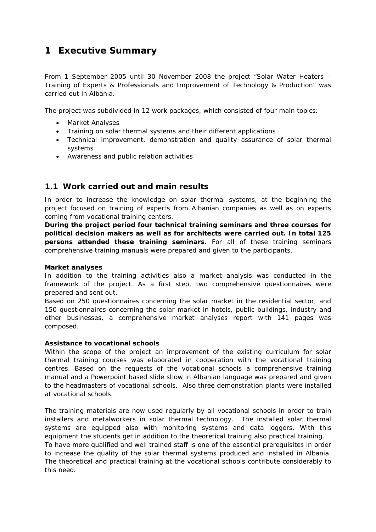# **1 Executive Summary**

From 1 September 2005 until 30 November 2008 the project "Solar Water Heaters – Training of Experts & Professionals and Improvement of Technology & Production" was carried out in Albania.

The project was subdivided in 12 work packages, which consisted of four main topics:

- · Market Analyses
- · Training on solar thermal systems and their different applications
- · Technical improvement, demonstration and quality assurance of solar thermal systems
- · Awareness and public relation activities

# **1.1 Work carried out and main results**

In order to increase the knowledge on solar thermal systems, at the beginning the project focused on training of experts from Albanian companies as well as on experts coming from vocational training centers.

**During the project period four technical training seminars and three courses for political decision makers as well as for architects were carried out. In total 125 persons attended these training seminars.** For all of these training seminars comprehensive training manuals were prepared and given to the participants.

#### **Market analyses**

In addition to the training activities also a market analysis was conducted in the framework of the project. As a first step, two comprehensive questionnaires were prepared and sent out.

Based on 250 questionnaires concerning the solar market in the residential sector, and 150 questionnaires concerning the solar market in hotels, public buildings, industry and other businesses, a comprehensive market analyses report with 141 pages was composed.

#### **Assistance to vocational schools**

Within the scope of the project an improvement of the existing curriculum for solar thermal training courses was elaborated in cooperation with the vocational training centres. Based on the requests of the vocational schools a comprehensive training manual and a Powerpoint based slide show in Albanian language was prepared and given to the headmasters of vocational schools. Also three demonstration plants were installed at vocational schools.

The training materials are now used regularly by all vocational schools in order to train installers and metalworkers in solar thermal technology. The installed solar thermal systems are equipped also with monitoring systems and data loggers. With this equipment the students get in addition to the theoretical training also practical training. To have more qualified and well trained staff is one of the essential prerequisites in order to increase the quality of the solar thermal systems produced and installed in Albania. The theoretical and practical training at the vocational schools contribute considerably to this need.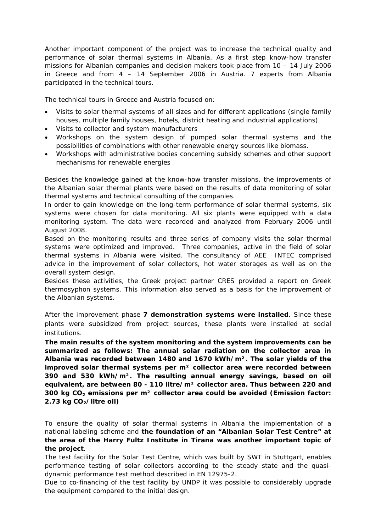Another important component of the project was to increase the technical quality and performance of solar thermal systems in Albania. As a first step know-how transfer missions for Albanian companies and decision makers took place from 10 – 14 July 2006 in Greece and from 4 – 14 September 2006 in Austria. 7 experts from Albania participated in the technical tours.

The technical tours in Greece and Austria focused on:

- · Visits to solar thermal systems of all sizes and for different applications (single family houses, multiple family houses, hotels, district heating and industrial applications)
- · Visits to collector and system manufacturers
- · Workshops on the system design of pumped solar thermal systems and the possibilities of combinations with other renewable energy sources like biomass.
- · Workshops with administrative bodies concerning subsidy schemes and other support mechanisms for renewable energies

Besides the knowledge gained at the know-how transfer missions, the improvements of the Albanian solar thermal plants were based on the results of data monitoring of solar thermal systems and technical consulting of the companies.

In order to gain knowledge on the long-term performance of solar thermal systems, six systems were chosen for data monitoring. All six plants were equipped with a data monitoring system. The data were recorded and analyzed from February 2006 until August 2008.

Based on the monitoring results and three series of company visits the solar thermal systems were optimized and improved. Three companies, active in the field of solar thermal systems in Albania were visited. The consultancy of AEE INTEC comprised advice in the improvement of solar collectors, hot water storages as well as on the overall system design.

Besides these activities, the Greek project partner CRES provided a report on Greek thermosyphon systems. This information also served as a basis for the improvement of the Albanian systems.

After the improvement phase **7 demonstration systems were installed**. Since these plants were subsidized from project sources, these plants were installed at social institutions.

**The main results of the system monitoring and the system improvements can be summarized as follows: The annual solar radiation on the collector area in Albania was recorded between 1480 and 1670 kWh/m². The solar yields of the improved solar thermal systems per m² collector area were recorded between 390 and 530 kWh/m². The resulting annual energy savings, based on oil equivalent, are between 80 - 110 litre/m² collector area. Thus between 220 and 300 kg CO2 emissions per m² collector area could be avoided (Emission factor: 2.73 kg CO2/litre oil)**

To ensure the quality of solar thermal systems in Albania the implementation of a national labeling scheme and **the foundation of an "Albanian Solar Test Centre" at the area of the Harry Fultz Institute in Tirana was another important topic of the project**.

The test facility for the Solar Test Centre, which was built by SWT in Stuttgart, enables performance testing of solar collectors according to the steady state and the quasidynamic performance test method described in EN 12975-2.

Due to co-financing of the test facility by UNDP it was possible to considerably upgrade the equipment compared to the initial design.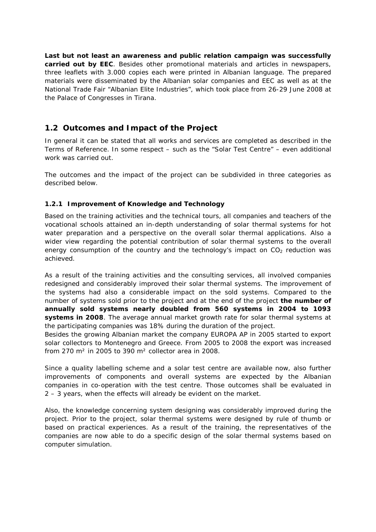**Last but not least an awareness and public relation campaign was successfully carried out by EEC**. Besides other promotional materials and articles in newspapers, three leaflets with 3.000 copies each were printed in Albanian language. The prepared materials were disseminated by the Albanian solar companies and EEC as well as at the National Trade Fair "Albanian Elite Industries", which took place from 26-29 June 2008 at the Palace of Congresses in Tirana.

# **1.2 Outcomes and Impact of the Project**

In general it can be stated that all works and services are completed as described in the Terms of Reference. In some respect – such as the "Solar Test Centre" – even additional work was carried out.

The outcomes and the impact of the project can be subdivided in three categories as described below.

# **1.2.1 Improvement of Knowledge and Technology**

Based on the training activities and the technical tours, all companies and teachers of the vocational schools attained an in-depth understanding of solar thermal systems for hot water preparation and a perspective on the overall solar thermal applications. Also a wider view regarding the potential contribution of solar thermal systems to the overall energy consumption of the country and the technology's impact on  $CO<sub>2</sub>$  reduction was achieved.

As a result of the training activities and the consulting services, all involved companies redesigned and considerably improved their solar thermal systems. The improvement of the systems had also a considerable impact on the sold systems. Compared to the number of systems sold prior to the project and at the end of the project **the number of annually sold systems nearly doubled from 560 systems in 2004 to 1093 systems in 2008**. The average annual market growth rate for solar thermal systems at the participating companies was 18% during the duration of the project.

Besides the growing Albanian market the company EUROPA AP in 2005 started to export solar collectors to Montenegro and Greece. From 2005 to 2008 the export was increased from 270 m² in 2005 to 390 m² collector area in 2008.

Since a quality labelling scheme and a solar test centre are available now, also further improvements of components and overall systems are expected by the Albanian companies in co-operation with the test centre. Those outcomes shall be evaluated in 2 – 3 years, when the effects will already be evident on the market.

Also, the knowledge concerning system designing was considerably improved during the project. Prior to the project, solar thermal systems were designed by rule of thumb or based on practical experiences. As a result of the training, the representatives of the companies are now able to do a specific design of the solar thermal systems based on computer simulation.